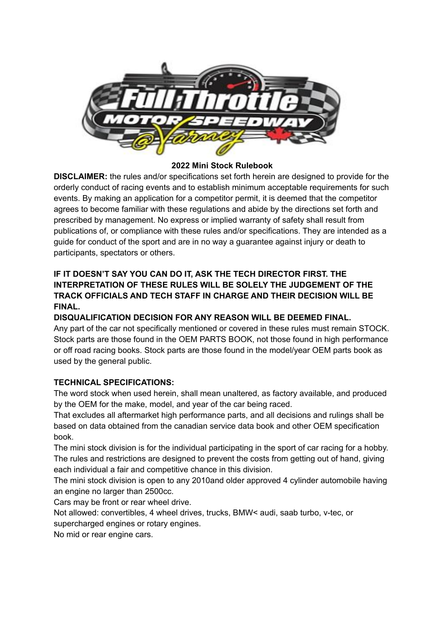

### **2022 Mini Stock Rulebook**

**DISCLAIMER:** the rules and/or specifications set forth herein are designed to provide for the orderly conduct of racing events and to establish minimum acceptable requirements for such events. By making an application for a competitor permit, it is deemed that the competitor agrees to become familiar with these regulations and abide by the directions set forth and prescribed by management. No express or implied warranty of safety shall result from publications of, or compliance with these rules and/or specifications. They are intended as a guide for conduct of the sport and are in no way a guarantee against injury or death to participants, spectators or others.

# **IF IT DOESN'T SAY YOU CAN DO IT, ASK THE TECH DIRECTOR FIRST. THE INTERPRETATION OF THESE RULES WILL BE SOLELY THE JUDGEMENT OF THE TRACK OFFICIALS AND TECH STAFF IN CHARGE AND THEIR DECISION WILL BE FINAL.**

# **DISQUALIFICATION DECISION FOR ANY REASON WILL BE DEEMED FINAL.**

Any part of the car not specifically mentioned or covered in these rules must remain STOCK. Stock parts are those found in the OEM PARTS BOOK, not those found in high performance or off road racing books. Stock parts are those found in the model/year OEM parts book as used by the general public.

## **TECHNICAL SPECIFICATIONS:**

The word stock when used herein, shall mean unaltered, as factory available, and produced by the OEM for the make, model, and year of the car being raced.

That excludes all aftermarket high performance parts, and all decisions and rulings shall be based on data obtained from the canadian service data book and other OEM specification book.

The mini stock division is for the individual participating in the sport of car racing for a hobby. The rules and restrictions are designed to prevent the costs from getting out of hand, giving each individual a fair and competitive chance in this division.

The mini stock division is open to any 2010and older approved 4 cylinder automobile having an engine no larger than 2500cc.

Cars may be front or rear wheel drive.

Not allowed: convertibles, 4 wheel drives, trucks, BMW< audi, saab turbo, v-tec, or

supercharged engines or rotary engines.

No mid or rear engine cars.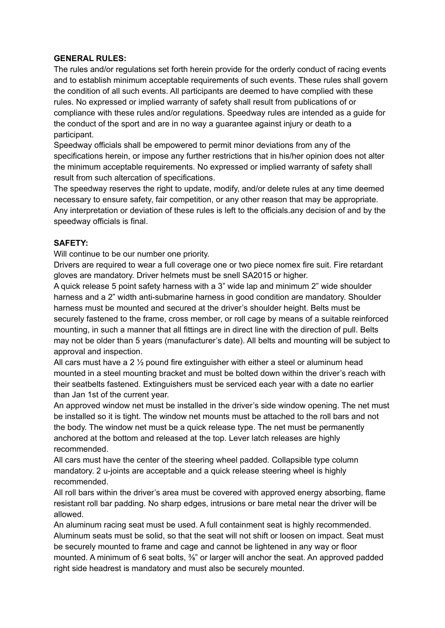#### **GENERAL RULES:**

The rules and/or regulations set forth herein provide for the orderly conduct of racing events and to establish minimum acceptable requirements of such events. These rules shall govern the condition of all such events. All participants are deemed to have complied with these rules. No expressed or implied warranty of safety shall result from publications of or compliance with these rules and/or regulations. Speedway rules are intended as a guide for the conduct of the sport and are in no way a guarantee against injury or death to a participant.

Speedway officials shall be empowered to permit minor deviations from any of the specifications herein, or impose any further restrictions that in his/her opinion does not alter the minimum acceptable requirements. No expressed or implied warranty of safety shall result from such altercation of specifications.

The speedway reserves the right to update, modify, and/or delete rules at any time deemed necessary to ensure safety, fair competition, or any other reason that may be appropriate. Any interpretation or deviation of these rules is left to the officials.any decision of and by the speedway officials is final.

### **SAFETY:**

Will continue to be our number one priority.

Drivers are required to wear a full coverage one or two piece nomex fire suit. Fire retardant gloves are mandatory. Driver helmets must be snell SA2015 or higher.

A quick release 5 point safety harness with a 3" wide lap and minimum 2" wide shoulder harness and a 2" width anti-submarine harness in good condition are mandatory. Shoulder harness must be mounted and secured at the driver's shoulder height. Belts must be securely fastened to the frame, cross member, or roll cage by means of a suitable reinforced mounting, in such a manner that all fittings are in direct line with the direction of pull. Belts may not be older than 5 years (manufacturer's date). All belts and mounting will be subject to approval and inspection.

All cars must have a 2  $\frac{1}{2}$  pound fire extinguisher with either a steel or aluminum head mounted in a steel mounting bracket and must be bolted down within the driver's reach with their seatbelts fastened. Extinguishers must be serviced each year with a date no earlier than Jan 1st of the current year.

An approved window net must be installed in the driver's side window opening. The net must be installed so it is tight. The window net mounts must be attached to the roll bars and not the body. The window net must be a quick release type. The net must be permanently anchored at the bottom and released at the top. Lever latch releases are highly recommended.

All cars must have the center of the steering wheel padded. Collapsible type column mandatory. 2 u-joints are acceptable and a quick release steering wheel is highly recommended.

All roll bars within the driver's area must be covered with approved energy absorbing, flame resistant roll bar padding. No sharp edges, intrusions or bare metal near the driver will be allowed.

An aluminum racing seat must be used. A full containment seat is highly recommended. Aluminum seats must be solid, so that the seat will not shift or loosen on impact. Seat must be securely mounted to frame and cage and cannot be lightened in any way or floor mounted. A minimum of 6 seat bolts,  $\frac{3}{8}$ " or larger will anchor the seat. An approved padded right side headrest is mandatory and must also be securely mounted.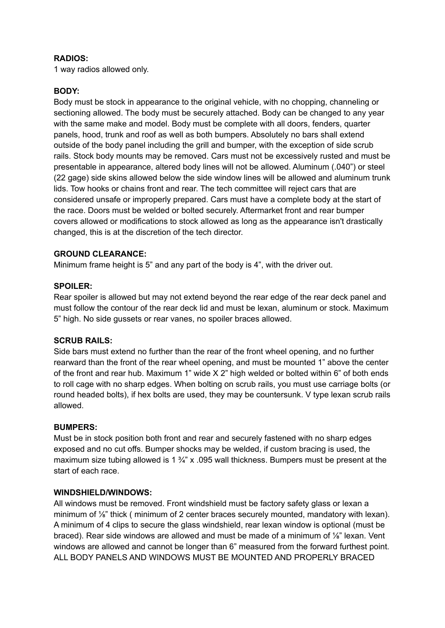#### **RADIOS:**

1 way radios allowed only.

## **BODY:**

Body must be stock in appearance to the original vehicle, with no chopping, channeling or sectioning allowed. The body must be securely attached. Body can be changed to any year with the same make and model. Body must be complete with all doors, fenders, quarter panels, hood, trunk and roof as well as both bumpers. Absolutely no bars shall extend outside of the body panel including the grill and bumper, with the exception of side scrub rails. Stock body mounts may be removed. Cars must not be excessively rusted and must be presentable in appearance, altered body lines will not be allowed. Aluminum (.040") or steel (22 gage) side skins allowed below the side window lines will be allowed and aluminum trunk lids. Tow hooks or chains front and rear. The tech committee will reject cars that are considered unsafe or improperly prepared. Cars must have a complete body at the start of the race. Doors must be welded or bolted securely. Aftermarket front and rear bumper covers allowed or modifications to stock allowed as long as the appearance isn't drastically changed, this is at the discretion of the tech director.

### **GROUND CLEARANCE:**

Minimum frame height is 5" and any part of the body is 4", with the driver out.

### **SPOILER:**

Rear spoiler is allowed but may not extend beyond the rear edge of the rear deck panel and must follow the contour of the rear deck lid and must be lexan, aluminum or stock. Maximum 5" high. No side gussets or rear vanes, no spoiler braces allowed.

#### **SCRUB RAILS:**

Side bars must extend no further than the rear of the front wheel opening, and no further rearward than the front of the rear wheel opening, and must be mounted 1" above the center of the front and rear hub. Maximum 1" wide X 2" high welded or bolted within 6" of both ends to roll cage with no sharp edges. When bolting on scrub rails, you must use carriage bolts (or round headed bolts), if hex bolts are used, they may be countersunk. V type lexan scrub rails allowed.

#### **BUMPERS:**

Must be in stock position both front and rear and securely fastened with no sharp edges exposed and no cut offs. Bumper shocks may be welded, if custom bracing is used, the maximum size tubing allowed is 1  $\frac{3}{4}$ " x .095 wall thickness. Bumpers must be present at the start of each race.

#### **WINDSHIELD/WINDOWS:**

All windows must be removed. Front windshield must be factory safety glass or lexan a minimum of 1/<sub>8</sub>" thick (minimum of 2 center braces securely mounted, mandatory with lexan). A minimum of 4 clips to secure the glass windshield, rear lexan window is optional (must be braced). Rear side windows are allowed and must be made of a minimum of ⅛" lexan. Vent windows are allowed and cannot be longer than 6" measured from the forward furthest point. ALL BODY PANELS AND WINDOWS MUST BE MOUNTED AND PROPERLY BRACED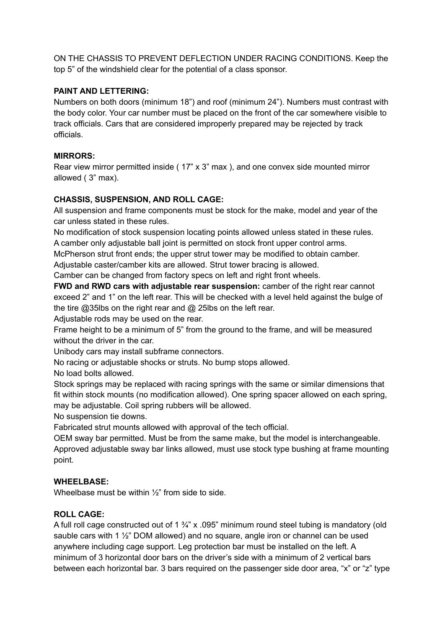ON THE CHASSIS TO PREVENT DEFLECTION UNDER RACING CONDITIONS. Keep the top 5" of the windshield clear for the potential of a class sponsor.

## **PAINT AND LETTERING:**

Numbers on both doors (minimum 18") and roof (minimum 24"). Numbers must contrast with the body color. Your car number must be placed on the front of the car somewhere visible to track officials. Cars that are considered improperly prepared may be rejected by track officials.

## **MIRRORS:**

Rear view mirror permitted inside ( 17" x 3" max ), and one convex side mounted mirror allowed ( 3" max).

# **CHASSIS, SUSPENSION, AND ROLL CAGE:**

All suspension and frame components must be stock for the make, model and year of the car unless stated in these rules.

No modification of stock suspension locating points allowed unless stated in these rules. A camber only adjustable ball joint is permitted on stock front upper control arms.

McPherson strut front ends; the upper strut tower may be modified to obtain camber. Adjustable caster/camber kits are allowed. Strut tower bracing is allowed.

Camber can be changed from factory specs on left and right front wheels.

**FWD and RWD cars with adjustable rear suspension:** camber of the right rear cannot exceed 2" and 1" on the left rear. This will be checked with a level held against the bulge of the tire @35lbs on the right rear and @ 25lbs on the left rear.

Adjustable rods may be used on the rear.

Frame height to be a minimum of 5" from the ground to the frame, and will be measured without the driver in the car.

Unibody cars may install subframe connectors.

No racing or adjustable shocks or struts. No bump stops allowed.

No load bolts allowed.

Stock springs may be replaced with racing springs with the same or similar dimensions that fit within stock mounts (no modification allowed). One spring spacer allowed on each spring, may be adjustable. Coil spring rubbers will be allowed.

No suspension tie downs.

Fabricated strut mounts allowed with approval of the tech official.

OEM sway bar permitted. Must be from the same make, but the model is interchangeable. Approved adjustable sway bar links allowed, must use stock type bushing at frame mounting point.

## **WHEELBASE:**

Wheelbase must be within  $\frac{1}{2}$ " from side to side.

## **ROLL CAGE:**

A full roll cage constructed out of  $1\frac{3}{4}$ " x .095" minimum round steel tubing is mandatory (old sauble cars with 1  $\frac{1}{2}$ " DOM allowed) and no square, angle iron or channel can be used anywhere including cage support. Leg protection bar must be installed on the left. A minimum of 3 horizontal door bars on the driver's side with a minimum of 2 vertical bars between each horizontal bar. 3 bars required on the passenger side door area, "x" or "z" type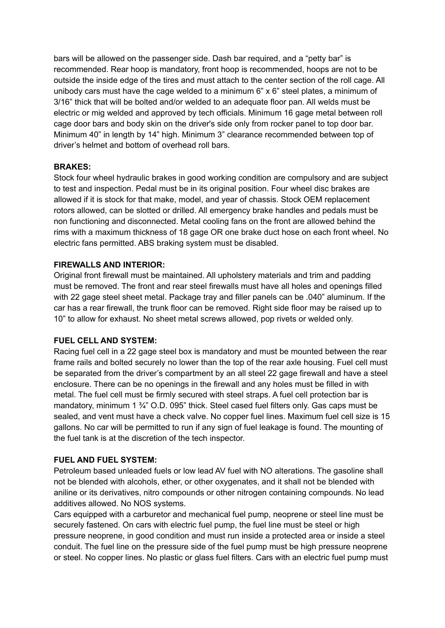bars will be allowed on the passenger side. Dash bar required, and a "petty bar" is recommended. Rear hoop is mandatory, front hoop is recommended, hoops are not to be outside the inside edge of the tires and must attach to the center section of the roll cage. All unibody cars must have the cage welded to a minimum 6" x 6" steel plates, a minimum of 3/16" thick that will be bolted and/or welded to an adequate floor pan. All welds must be electric or mig welded and approved by tech officials. Minimum 16 gage metal between roll cage door bars and body skin on the driver's side only from rocker panel to top door bar. Minimum 40" in length by 14" high. Minimum 3" clearance recommended between top of driver's helmet and bottom of overhead roll bars.

#### **BRAKES:**

Stock four wheel hydraulic brakes in good working condition are compulsory and are subject to test and inspection. Pedal must be in its original position. Four wheel disc brakes are allowed if it is stock for that make, model, and year of chassis. Stock OEM replacement rotors allowed, can be slotted or drilled. All emergency brake handles and pedals must be non functioning and disconnected. Metal cooling fans on the front are allowed behind the rims with a maximum thickness of 18 gage OR one brake duct hose on each front wheel. No electric fans permitted. ABS braking system must be disabled.

### **FIREWALLS AND INTERIOR:**

Original front firewall must be maintained. All upholstery materials and trim and padding must be removed. The front and rear steel firewalls must have all holes and openings filled with 22 gage steel sheet metal. Package tray and filler panels can be .040" aluminum. If the car has a rear firewall, the trunk floor can be removed. Right side floor may be raised up to 10" to allow for exhaust. No sheet metal screws allowed, pop rivets or welded only.

#### **FUEL CELL AND SYSTEM:**

Racing fuel cell in a 22 gage steel box is mandatory and must be mounted between the rear frame rails and bolted securely no lower than the top of the rear axle housing. Fuel cell must be separated from the driver's compartment by an all steel 22 gage firewall and have a steel enclosure. There can be no openings in the firewall and any holes must be filled in with metal. The fuel cell must be firmly secured with steel straps. A fuel cell protection bar is mandatory, minimum 1 ¾" O.D. 095" thick. Steel cased fuel filters only. Gas caps must be sealed, and vent must have a check valve. No copper fuel lines. Maximum fuel cell size is 15 gallons. No car will be permitted to run if any sign of fuel leakage is found. The mounting of the fuel tank is at the discretion of the tech inspector.

#### **FUEL AND FUEL SYSTEM:**

Petroleum based unleaded fuels or low lead AV fuel with NO alterations. The gasoline shall not be blended with alcohols, ether, or other oxygenates, and it shall not be blended with aniline or its derivatives, nitro compounds or other nitrogen containing compounds. No lead additives allowed. No NOS systems.

Cars equipped with a carburetor and mechanical fuel pump, neoprene or steel line must be securely fastened. On cars with electric fuel pump, the fuel line must be steel or high pressure neoprene, in good condition and must run inside a protected area or inside a steel conduit. The fuel line on the pressure side of the fuel pump must be high pressure neoprene or steel. No copper lines. No plastic or glass fuel filters. Cars with an electric fuel pump must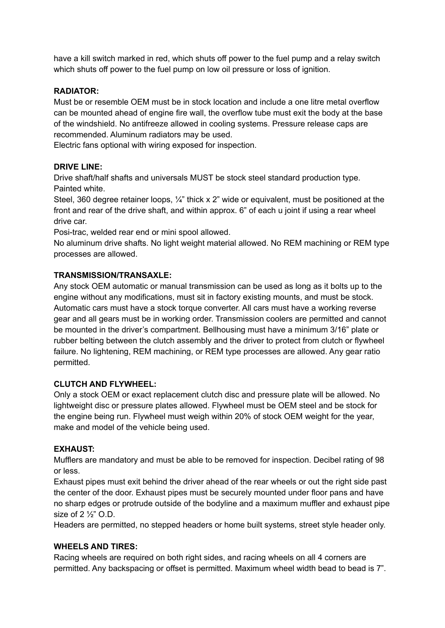have a kill switch marked in red, which shuts off power to the fuel pump and a relay switch which shuts off power to the fuel pump on low oil pressure or loss of ignition.

## **RADIATOR:**

Must be or resemble OEM must be in stock location and include a one litre metal overflow can be mounted ahead of engine fire wall, the overflow tube must exit the body at the base of the windshield. No antifreeze allowed in cooling systems. Pressure release caps are recommended. Aluminum radiators may be used.

Electric fans optional with wiring exposed for inspection.

### **DRIVE LINE:**

Drive shaft/half shafts and universals MUST be stock steel standard production type. Painted white.

Steel, 360 degree retainer loops, 1/4" thick x 2" wide or equivalent, must be positioned at the front and rear of the drive shaft, and within approx. 6" of each u joint if using a rear wheel drive car.

Posi-trac, welded rear end or mini spool allowed.

No aluminum drive shafts. No light weight material allowed. No REM machining or REM type processes are allowed.

### **TRANSMISSION/TRANSAXLE:**

Any stock OEM automatic or manual transmission can be used as long as it bolts up to the engine without any modifications, must sit in factory existing mounts, and must be stock. Automatic cars must have a stock torque converter. All cars must have a working reverse gear and all gears must be in working order. Transmission coolers are permitted and cannot be mounted in the driver's compartment. Bellhousing must have a minimum 3/16" plate or rubber belting between the clutch assembly and the driver to protect from clutch or flywheel failure. No lightening, REM machining, or REM type processes are allowed. Any gear ratio permitted.

#### **CLUTCH AND FLYWHEEL:**

Only a stock OEM or exact replacement clutch disc and pressure plate will be allowed. No lightweight disc or pressure plates allowed. Flywheel must be OEM steel and be stock for the engine being run. Flywheel must weigh within 20% of stock OEM weight for the year, make and model of the vehicle being used.

#### **EXHAUST:**

Mufflers are mandatory and must be able to be removed for inspection. Decibel rating of 98 or less.

Exhaust pipes must exit behind the driver ahead of the rear wheels or out the right side past the center of the door. Exhaust pipes must be securely mounted under floor pans and have no sharp edges or protrude outside of the bodyline and a maximum muffler and exhaust pipe size of 2 ½" O.D.

Headers are permitted, no stepped headers or home built systems, street style header only.

#### **WHEELS AND TIRES:**

Racing wheels are required on both right sides, and racing wheels on all 4 corners are permitted. Any backspacing or offset is permitted. Maximum wheel width bead to bead is 7".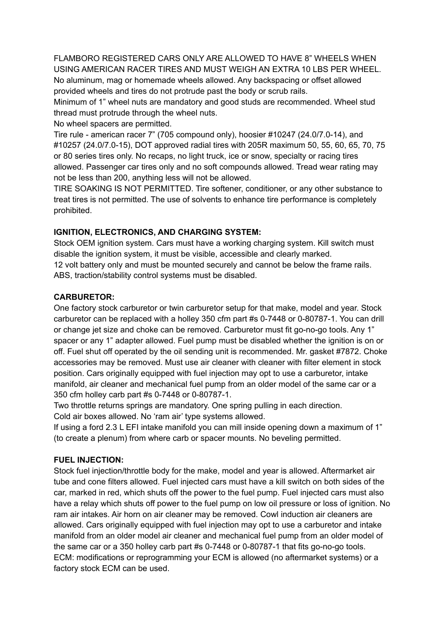FLAMBORO REGISTERED CARS ONLY ARE ALLOWED TO HAVE 8" WHEELS WHEN USING AMERICAN RACER TIRES AND MUST WEIGH AN EXTRA 10 LBS PER WHEEL. No aluminum, mag or homemade wheels allowed. Any backspacing or offset allowed provided wheels and tires do not protrude past the body or scrub rails. Minimum of 1" wheel nuts are mandatory and good studs are recommended. Wheel stud

thread must protrude through the wheel nuts.

No wheel spacers are permitted.

Tire rule - american racer 7" (705 compound only), hoosier #10247 (24.0/7.0-14), and #10257 (24.0/7.0-15), DOT approved radial tires with 205R maximum 50, 55, 60, 65, 70, 75 or 80 series tires only. No recaps, no light truck, ice or snow, specialty or racing tires allowed. Passenger car tires only and no soft compounds allowed. Tread wear rating may not be less than 200, anything less will not be allowed.

TIRE SOAKING IS NOT PERMITTED. Tire softener, conditioner, or any other substance to treat tires is not permitted. The use of solvents to enhance tire performance is completely prohibited.

## **IGNITION, ELECTRONICS, AND CHARGING SYSTEM:**

Stock OEM ignition system. Cars must have a working charging system. Kill switch must disable the ignition system, it must be visible, accessible and clearly marked. 12 volt battery only and must be mounted securely and cannot be below the frame rails. ABS, traction/stability control systems must be disabled.

### **CARBURETOR:**

One factory stock carburetor or twin carburetor setup for that make, model and year. Stock carburetor can be replaced with a holley 350 cfm part #s 0-7448 or 0-80787-1. You can drill or change jet size and choke can be removed. Carburetor must fit go-no-go tools. Any 1" spacer or any 1" adapter allowed. Fuel pump must be disabled whether the ignition is on or off. Fuel shut off operated by the oil sending unit is recommended. Mr. gasket #7872. Choke accessories may be removed. Must use air cleaner with cleaner with filter element in stock position. Cars originally equipped with fuel injection may opt to use a carburetor, intake manifold, air cleaner and mechanical fuel pump from an older model of the same car or a 350 cfm holley carb part #s 0-7448 or 0-80787-1.

Two throttle returns springs are mandatory. One spring pulling in each direction. Cold air boxes allowed. No 'ram air' type systems allowed.

If using a ford 2.3 L EFI intake manifold you can mill inside opening down a maximum of 1" (to create a plenum) from where carb or spacer mounts. No beveling permitted.

## **FUEL INJECTION:**

Stock fuel injection/throttle body for the make, model and year is allowed. Aftermarket air tube and cone filters allowed. Fuel injected cars must have a kill switch on both sides of the car, marked in red, which shuts off the power to the fuel pump. Fuel injected cars must also have a relay which shuts off power to the fuel pump on low oil pressure or loss of ignition. No ram air intakes. Air horn on air cleaner may be removed. Cowl induction air cleaners are allowed. Cars originally equipped with fuel injection may opt to use a carburetor and intake manifold from an older model air cleaner and mechanical fuel pump from an older model of the same car or a 350 holley carb part #s 0-7448 or 0-80787-1 that fits go-no-go tools. ECM: modifications or reprogramming your ECM is allowed (no aftermarket systems) or a factory stock ECM can be used.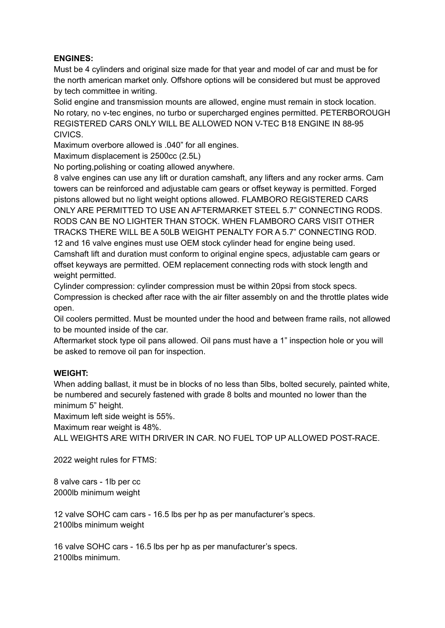## **ENGINES:**

Must be 4 cylinders and original size made for that year and model of car and must be for the north american market only. Offshore options will be considered but must be approved by tech committee in writing.

Solid engine and transmission mounts are allowed, engine must remain in stock location. No rotary, no v-tec engines, no turbo or supercharged engines permitted. PETERBOROUGH REGISTERED CARS ONLY WILL BE ALLOWED NON V-TEC B18 ENGINE IN 88-95 CIVICS.

Maximum overbore allowed is .040" for all engines.

Maximum displacement is 2500cc (2.5L)

No porting,polishing or coating allowed anywhere.

8 valve engines can use any lift or duration camshaft, any lifters and any rocker arms. Cam towers can be reinforced and adjustable cam gears or offset keyway is permitted. Forged pistons allowed but no light weight options allowed. FLAMBORO REGISTERED CARS ONLY ARE PERMITTED TO USE AN AFTERMARKET STEEL 5.7" CONNECTING RODS. RODS CAN BE NO LIGHTER THAN STOCK. WHEN FLAMBORO CARS VISIT OTHER TRACKS THERE WILL BE A 50LB WEIGHT PENALTY FOR A 5.7" CONNECTING ROD. 12 and 16 valve engines must use OEM stock cylinder head for engine being used. Camshaft lift and duration must conform to original engine specs, adjustable cam gears or offset keyways are permitted. OEM replacement connecting rods with stock length and weight permitted.

Cylinder compression: cylinder compression must be within 20psi from stock specs. Compression is checked after race with the air filter assembly on and the throttle plates wide open.

Oil coolers permitted. Must be mounted under the hood and between frame rails, not allowed to be mounted inside of the car.

Aftermarket stock type oil pans allowed. Oil pans must have a 1" inspection hole or you will be asked to remove oil pan for inspection.

## **WEIGHT:**

When adding ballast, it must be in blocks of no less than 5lbs, bolted securely, painted white, be numbered and securely fastened with grade 8 bolts and mounted no lower than the minimum 5" height.

Maximum left side weight is 55%.

Maximum rear weight is 48%.

ALL WEIGHTS ARE WITH DRIVER IN CAR. NO FUEL TOP UP ALLOWED POST-RACE.

2022 weight rules for FTMS:

8 valve cars - 1lb per cc 2000lb minimum weight

12 valve SOHC cam cars - 16.5 lbs per hp as per manufacturer's specs. 2100lbs minimum weight

16 valve SOHC cars - 16.5 lbs per hp as per manufacturer's specs. 2100lbs minimum.